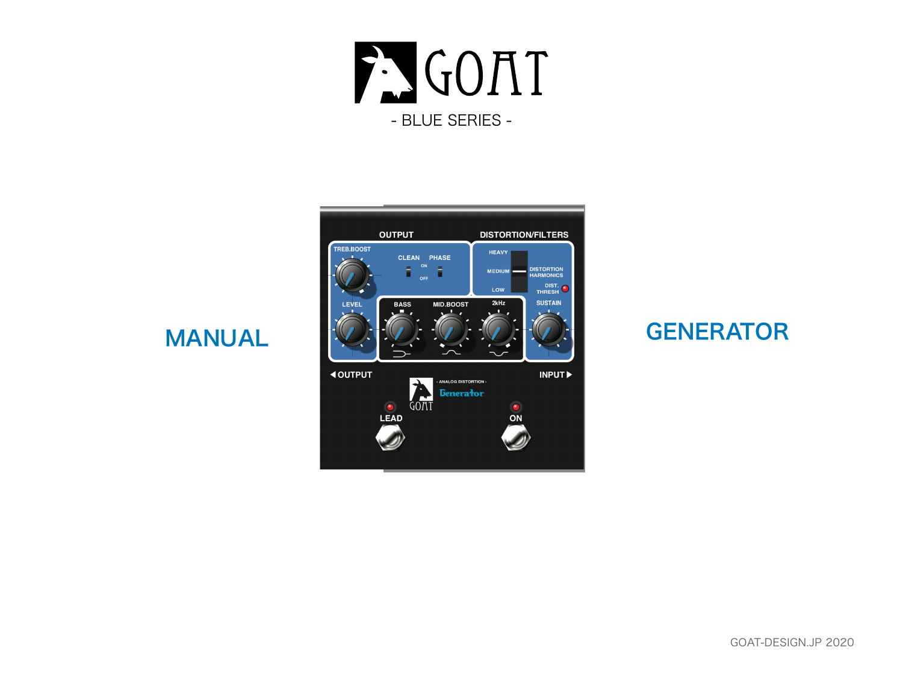



MANUAL

### **GENERATOR**

### GOAT-DESIGN.JP 2020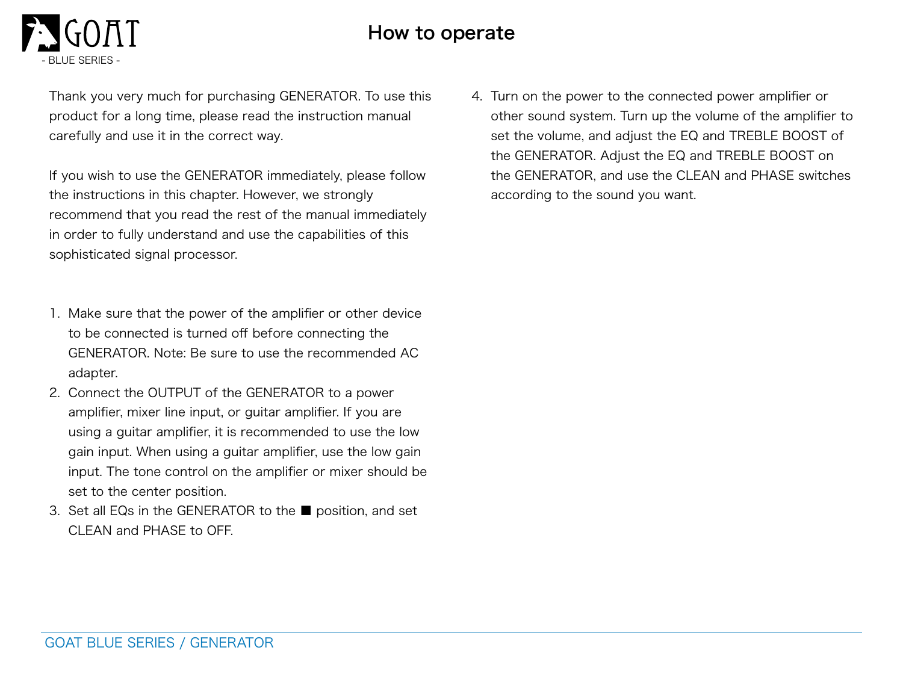### How to operate

Thank you very much for purchasing GENERATOR. To use this product for a long time, please read the instruction manual carefully and use it in the correct way.

If you wish to use the GENERATOR immediately, please follow the instructions in this chapter. However, we strongly recommend that you read the rest of the manual immediately in order to fully understand and use the capabilities of this sophisticated signal processor.

- 1. Make sure that the power of the amplifier or other device to be connected is turned off before connecting the GENERATOR. Note: Be sure to use the recommended AC adapter.
- 2. Connect the OUTPUT of the GENERATOR to a power amplifier, mixer line input, or guitar amplifier. If you are using a guitar amplifier, it is recommended to use the low gain input. When using a guitar amplifier, use the low gain input. The tone control on the amplifier or mixer should be set to the center position.
- 3. Set all EQs in the GENERATOR to the position, and set CLEAN and PHASE to OFF.

4. Turn on the power to the connected power amplifier or other sound system. Turn up the volume of the amplifier to set the volume, and adjust the EQ and TREBLE BOOST of the GENERATOR. Adjust the EQ and TREBLE BOOST on the GENERATOR, and use the CLEAN and PHASE switches according to the sound you want.

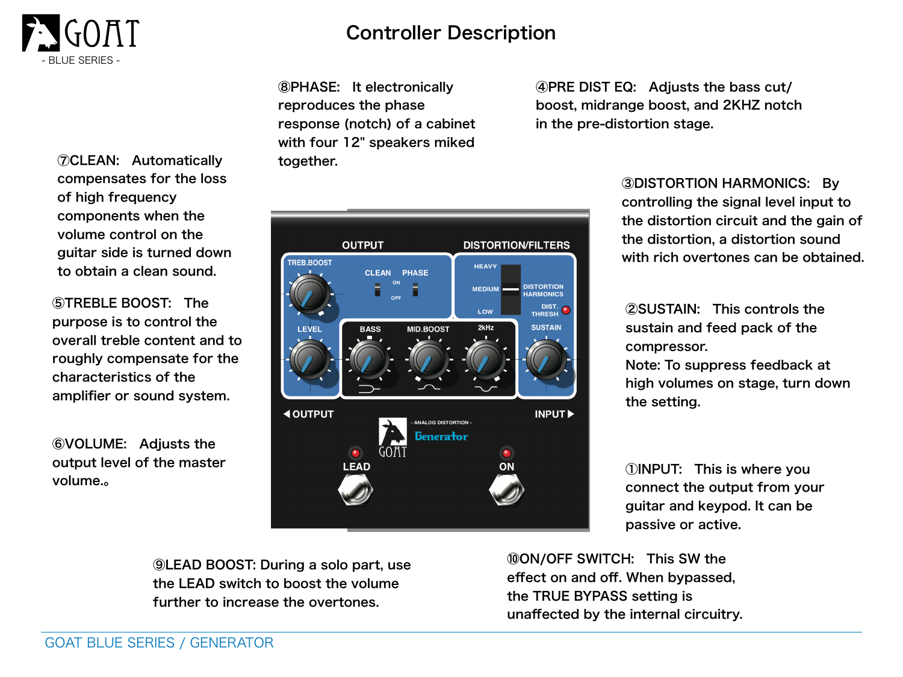

⑦CLEAN: Automatically compensates for the loss of high frequency components when the volume control on the guitar side is turned down to obtain a clean sound.

⑤TREBLE BOOST: The purpose is to control the overall treble content and to roughly compensate for the characteristics of the amplifier or sound system.

⑥VOLUME: Adjusts the output level of the master volume.。

## Controller Description

⑧PHASE: It electronically reproduces the phase response (notch) of a cabinet with four 12" speakers miked together.

④PRE DIST EQ: Adjusts the bass cut/ boost, midrange boost, and 2KHZ notch in the pre-distortion stage.

**OUTPUT DISTORTION/FILTERS** TREB.BOOST **HEAVY CLEAN PHASE DISTORTION MEDIUM HARMONICS** DIST.<br>THRESH<sup>O</sup> LOW 2kHz **SUSTAIN MID.BOOST BASS LEVEI 4 OUTPUT INPUTE ANALOG DISTORTION -***<u>Benerator</u>* **LEAD** ON

③DISTORTION HARMONICS: By controlling the signal level input to the distortion circuit and the gain of the distortion, a distortion sound with rich overtones can be obtained.

②SUSTAIN: This controls the sustain and feed pack of the compressor. Note: To suppress feedback at high volumes on stage, turn down the setting.

①INPUT: This is where you connect the output from your guitar and keypod. It can be passive or active.

⑨LEAD BOOST: During a solo part, use the LEAD switch to boost the volume further to increase the overtones.

⑩ON/OFF SWITCH: This SW the effect on and off. When bypassed, the TRUE BYPASS setting is unaffected by the internal circuitry.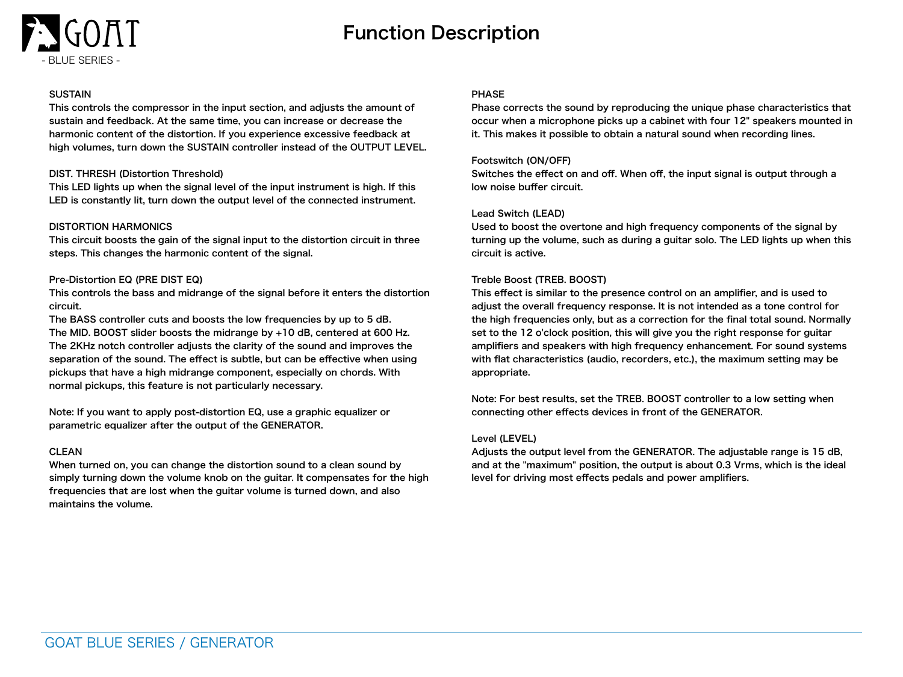

# Function Description

#### **SUSTAIN**

This controls the compressor in the input section, and adjusts the amount of sustain and feedback. At the same time, you can increase or decrease the harmonic content of the distortion. If you experience excessive feedback at high volumes, turn down the SUSTAIN controller instead of the OUTPUT LEVEL.

#### DIST. THRESH (Distortion Threshold)

This LED lights up when the signal level of the input instrument is high. If this LED is constantly lit, turn down the output level of the connected instrument.

#### DISTORTION HARMONICS

This circuit boosts the gain of the signal input to the distortion circuit in three steps. This changes the harmonic content of the signal.

#### Pre-Distortion EQ (PRE DIST EQ)

This controls the bass and midrange of the signal before it enters the distortion circuit.

The BASS controller cuts and boosts the low frequencies by up to 5 dB. The MID. BOOST slider boosts the midrange by +10 dB, centered at 600 Hz. The 2KHz notch controller adjusts the clarity of the sound and improves the separation of the sound. The effect is subtle, but can be effective when using pickups that have a high midrange component, especially on chords. With normal pickups, this feature is not particularly necessary.

Note: If you want to apply post-distortion EQ, use a graphic equalizer or parametric equalizer after the output of the GENERATOR.

#### CLEAN

When turned on, you can change the distortion sound to a clean sound by simply turning down the volume knob on the guitar. It compensates for the high frequencies that are lost when the guitar volume is turned down, and also maintains the volume.

#### PHASE

Phase corrects the sound by reproducing the unique phase characteristics that occur when a microphone picks up a cabinet with four 12" speakers mounted in it. This makes it possible to obtain a natural sound when recording lines.

#### Footswitch (ON/OFF)

Switches the effect on and off. When off, the input signal is output through a low noise buffer circuit.

#### Lead Switch (LEAD)

Used to boost the overtone and high frequency components of the signal by turning up the volume, such as during a guitar solo. The LED lights up when this circuit is active.

#### Treble Boost (TREB. BOOST)

This effect is similar to the presence control on an amplifier, and is used to adjust the overall frequency response. It is not intended as a tone control for the high frequencies only, but as a correction for the final total sound. Normally set to the 12 o'clock position, this will give you the right response for guitar amplifiers and speakers with high frequency enhancement. For sound systems with flat characteristics (audio, recorders, etc.), the maximum setting may be appropriate.

Note: For best results, set the TREB. BOOST controller to a low setting when connecting other effects devices in front of the GENERATOR.

#### Level (LEVEL)

Adjusts the output level from the GENERATOR. The adjustable range is 15 dB, and at the "maximum" position, the output is about 0.3 Vrms, which is the ideal level for driving most effects pedals and power amplifiers.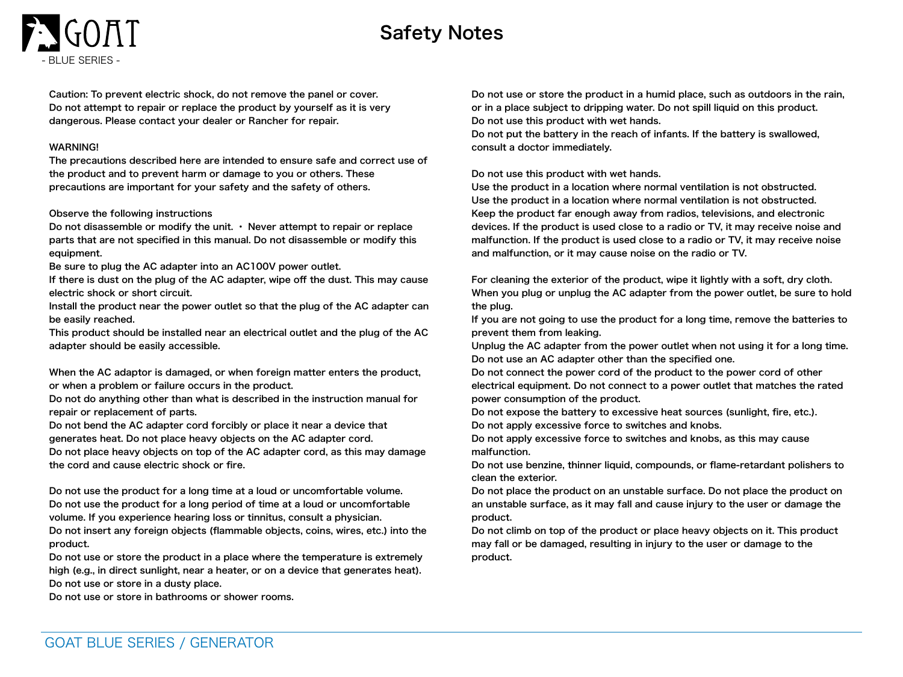# Safety Notes

Caution: To prevent electric shock, do not remove the panel or cover. Do not attempt to repair or replace the product by yourself as it is very dangerous. Please contact your dealer or Rancher for repair.

#### WARNING!

- BLUE SERIES -

The precautions described here are intended to ensure safe and correct use of the product and to prevent harm or damage to you or others. These precautions are important for your safety and the safety of others.

#### Observe the following instructions

Do not disassemble or modify the unit.  $\cdot$  Never attempt to repair or replace parts that are not specified in this manual. Do not disassemble or modify this equipment.

Be sure to plug the AC adapter into an AC100V power outlet.

If there is dust on the plug of the AC adapter, wipe off the dust. This may cause electric shock or short circuit.

Install the product near the power outlet so that the plug of the AC adapter can be easily reached.

This product should be installed near an electrical outlet and the plug of the AC adapter should be easily accessible.

When the AC adaptor is damaged, or when foreign matter enters the product, or when a problem or failure occurs in the product.

Do not do anything other than what is described in the instruction manual for repair or replacement of parts.

Do not bend the AC adapter cord forcibly or place it near a device that

generates heat. Do not place heavy objects on the AC adapter cord.

Do not place heavy objects on top of the AC adapter cord, as this may damage the cord and cause electric shock or fire.

Do not use the product for a long time at a loud or uncomfortable volume. Do not use the product for a long period of time at a loud or uncomfortable volume. If you experience hearing loss or tinnitus, consult a physician.

Do not insert any foreign objects (flammable objects, coins, wires, etc.) into the product.

Do not use or store the product in a place where the temperature is extremely high (e.g., in direct sunlight, near a heater, or on a device that generates heat). Do not use or store in a dusty place.

Do not use or store in bathrooms or shower rooms.

Do not use or store the product in a humid place, such as outdoors in the rain, or in a place subject to dripping water. Do not spill liquid on this product. Do not use this product with wet hands.

Do not put the battery in the reach of infants. If the battery is swallowed, consult a doctor immediately.

Do not use this product with wet hands.

Use the product in a location where normal ventilation is not obstructed. Use the product in a location where normal ventilation is not obstructed. Keep the product far enough away from radios, televisions, and electronic devices. If the product is used close to a radio or TV, it may receive noise and malfunction. If the product is used close to a radio or TV, it may receive noise and malfunction, or it may cause noise on the radio or TV.

For cleaning the exterior of the product, wipe it lightly with a soft, dry cloth. When you plug or unplug the AC adapter from the power outlet, be sure to hold the plug.

If you are not going to use the product for a long time, remove the batteries to prevent them from leaking.

Unplug the AC adapter from the power outlet when not using it for a long time. Do not use an AC adapter other than the specified one.

Do not connect the power cord of the product to the power cord of other electrical equipment. Do not connect to a power outlet that matches the rated power consumption of the product.

Do not expose the battery to excessive heat sources (sunlight, fire, etc.).

Do not apply excessive force to switches and knobs.

Do not apply excessive force to switches and knobs, as this may cause malfunction.

Do not use benzine, thinner liquid, compounds, or flame-retardant polishers to clean the exterior.

Do not place the product on an unstable surface. Do not place the product on an unstable surface, as it may fall and cause injury to the user or damage the product.

Do not climb on top of the product or place heavy objects on it. This product may fall or be damaged, resulting in injury to the user or damage to the product.